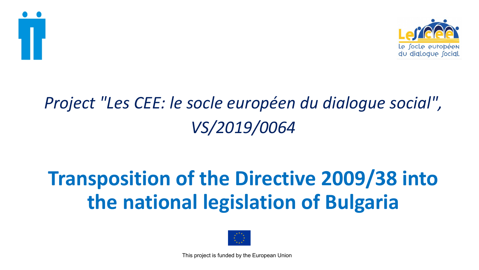



## *Project "Les CEE: le socle européen du dialogue social", VS/2019/0064*

# **Transposition of the Directive 2009/38 into the national legislation of Bulgaria**

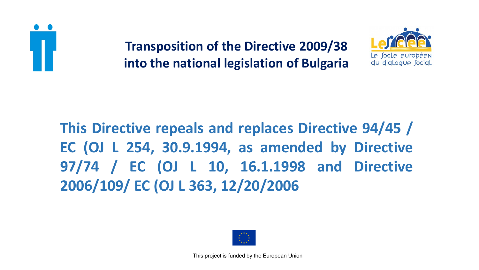



**This Directive repeals and replaces Directive 94/45 / EC (OJ L 254, 30.9.1994, as amended by Directive 97/74 / EC (OJ L 10, 16.1.1998 and Directive 2006/109/ EC (OJ L 363, 12/20/2006**

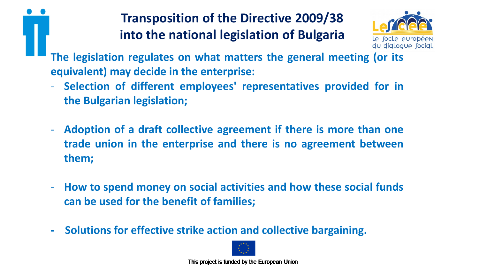

**The legislation regulates on what matters the general meeting (or its equivalent) may decide in the enterprise:**

- **Selection of different employees' representatives provided for in the Bulgarian legislation;**
- **Adoption of a draft collective agreement if there is more than one trade union in the enterprise and there is no agreement between them;**
- **How to spend money on social activities and how these social funds can be used for the benefit of families;**
- **- Solutions for effective strike action and collective bargaining.**

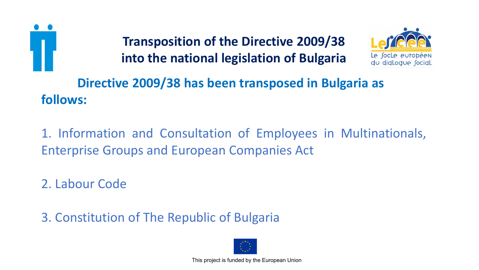



**Directive 2009/38 has been transposed in Bulgaria as follows:**

1. Information and Consultation of Employees in Multinationals, Enterprise Groups and European Companies Act

2. Labour Code

3. Constitution of The Republic of Bulgaria

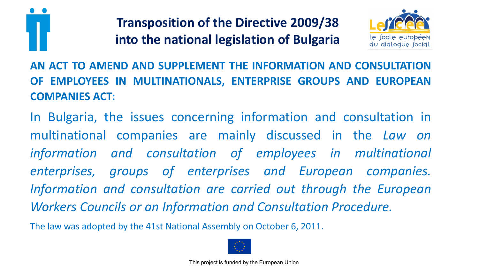



**AN ACT TO AMEND AND SUPPLEMENT THE INFORMATION AND CONSULTATION OF EMPLOYEES IN MULTINATIONALS, ENTERPRISE GROUPS AND EUROPEAN COMPANIES ACT:**

In Bulgaria, the issues concerning information and consultation in multinational companies are mainly discussed in the *Law on information and consultation of employees in multinational enterprises, groups of enterprises and European companies. Information and consultation are carried out through the European Workers Councils or an Information and Consultation Procedure.*

The law was adopted by the 41st National Assembly on October 6, 2011.

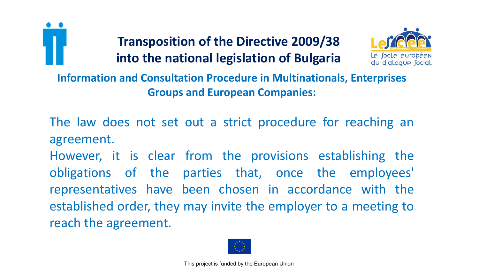



**Information and Consultation Procedure in Multinationals, Enterprises Groups and European Companies:**

The law does not set out a strict procedure for reaching an agreement.

However, it is clear from the provisions establishing the obligations of the parties that, once the employees' representatives have been chosen in accordance with the established order, they may invite the employer to a meeting to reach the agreement.

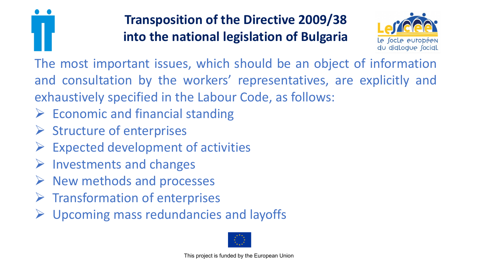



The most important issues, which should be an object of information and consultation by the workers' representatives, are explicitly and exhaustively specified in the Labour Code, as follows:

- $\triangleright$  Economic and financial standing
- ➢ Structure of enterprises
- Expected development of activities
- $\triangleright$  Investments and changes
- ➢ New methods and processes
- $\triangleright$  Transformation of enterprises
- $\triangleright$  Upcoming mass redundancies and layoffs

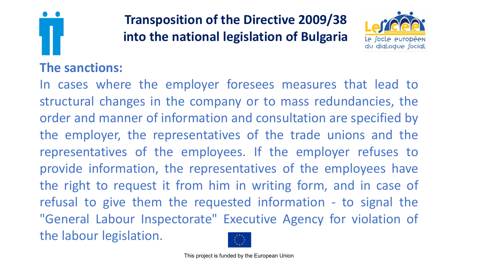

#### **The sanctions:**

**Transposition of the Directive 2009/38 into the national legislation of Bulgaria**



In cases where the employer foresees measures that lead to structural changes in the company or to mass redundancies, the order and manner of information and consultation are specified by the employer, the representatives of the trade unions and the representatives of the employees. If the employer refuses to provide information, the representatives of the employees have the right to request it from him in writing form, and in case of refusal to give them the requested information - to signal the "General Labour Inspectorate" Executive Agency for violation of the labour legislation.

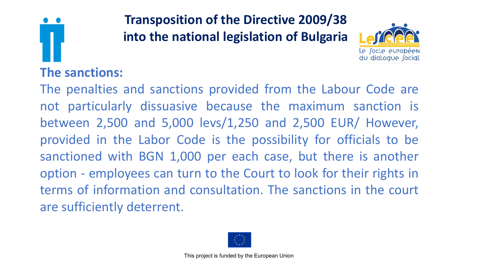



## **The sanctions:**

The penalties and sanctions provided from the Labour Code are not particularly dissuasive because the maximum sanction is between 2,500 and 5,000 levs/1,250 and 2,500 EUR/ However, provided in the Labor Code is the possibility for officials to be sanctioned with BGN 1,000 per each case, but there is another option - employees can turn to the Court to look for their rights in terms of information and consultation. The sanctions in the court are sufficiently deterrent.

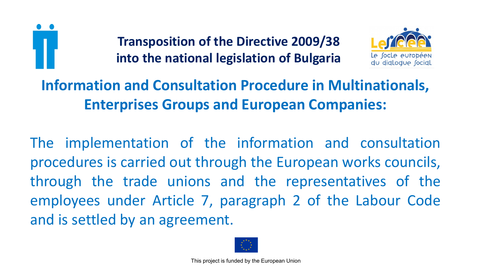



## **Information and Consultation Procedure in Multinationals, Enterprises Groups and European Companies:**

The implementation of the information and consultation procedures is carried out through the European works councils, through the trade unions and the representatives of the employees under Article 7, paragraph 2 of the Labour Code and is settled by an agreement.

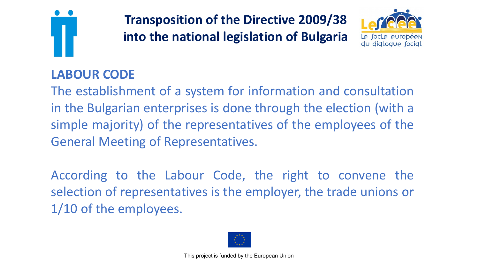



## **LABOUR CODE**

The establishment of a system for information and consultation in the Bulgarian enterprises is done through the election (with a simple majority) of the representatives of the employees of the General Meeting of Representatives.

According to the Labour Code, the right to convene the selection of representatives is the employer, the trade unions or 1/10 of the employees.

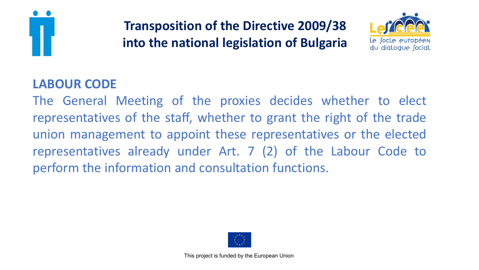



#### **LABOUR CODE**

The General Meeting of the proxies decides whether to elect representatives of the staff, whether to grant the right of the trade union management to appoint these representatives or the elected representatives already under Art. 7 (2) of the Labour Code to perform the information and consultation functions.

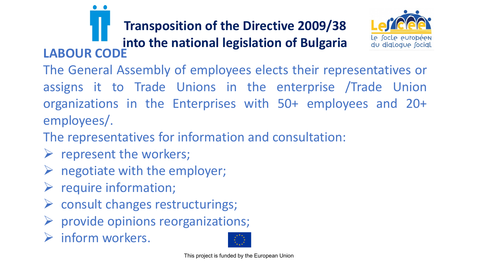

The General Assembly of employees elects their representatives or assigns it to Trade Unions in the enterprise /Trade Union organizations in the Enterprises with 50+ employees and 20+ employees/.

The representatives for information and consultation:

- $\triangleright$  represent the workers;
- $\triangleright$  negotiate with the employer;
- $\triangleright$  require information;
- ➢ consult changes restructurings;
- $\triangleright$  provide opinions reorganizations;
- ➢ inform workers.

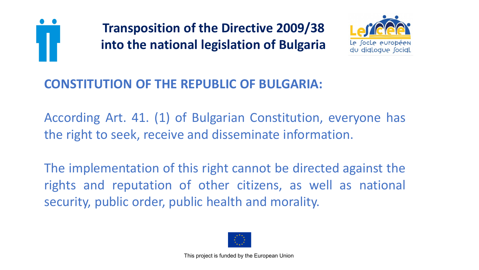



## **CONSTITUTION OF THE REPUBLIC OF BULGARIA:**

According Art. 41. (1) of Bulgarian Constitution, everyone has the right to seek, receive and disseminate information.

The implementation of this right cannot be directed against the rights and reputation of other citizens, as well as national security, public order, public health and morality.